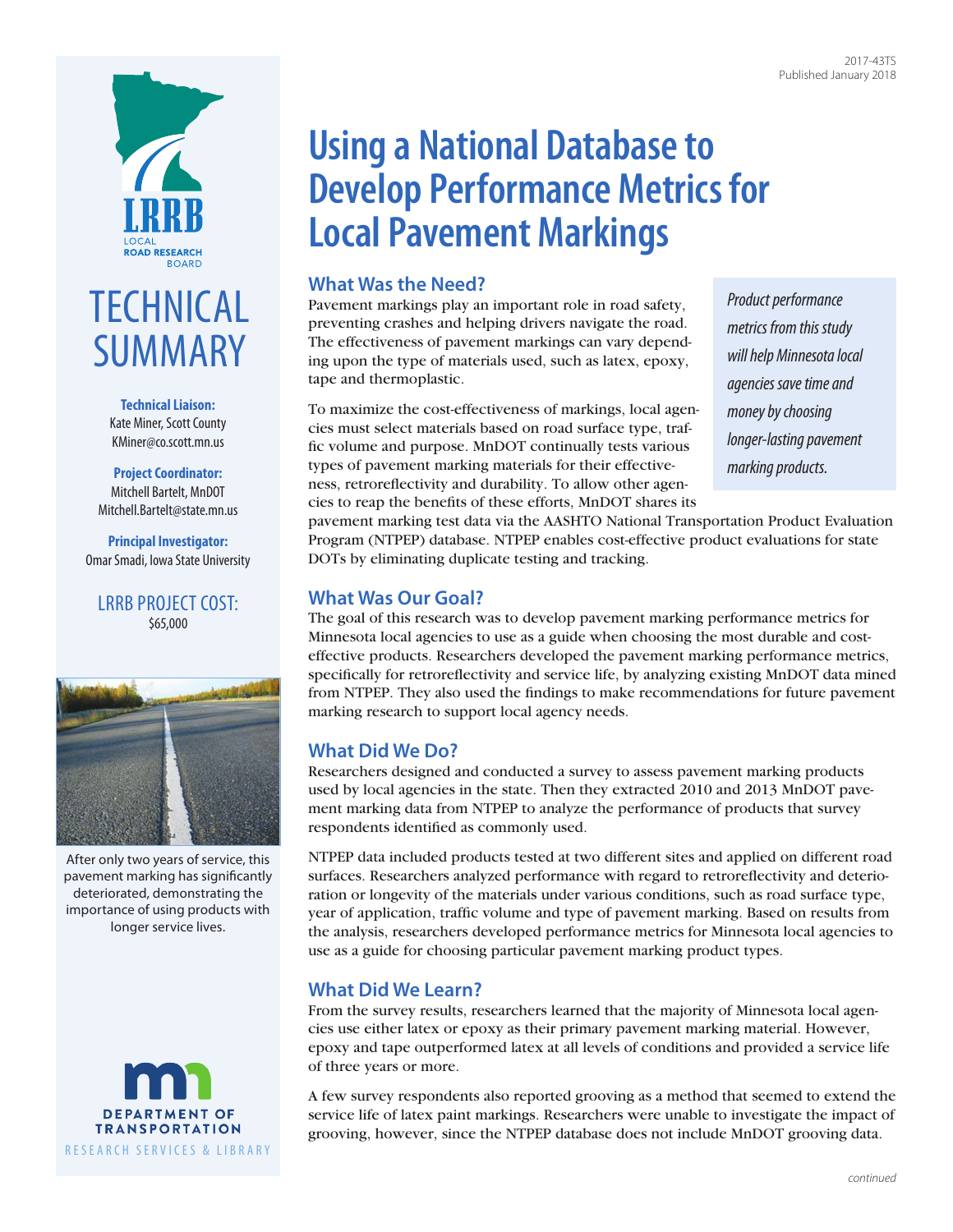



**Technical Liaison:** Kate Miner, Scott County [KMiner@co.scott.mn.us](mailto:KMiner@co.scott.mn.us)

**Project Coordinator:** Mitchell Bartelt, MnDOT [Mitchell.Bartelt@state.mn.us](mailto:Mitchell.Bartelt@state.mn.us)

**Principal Investigator:** Omar Smadi, Iowa State University

LRRB PROJECT COST: \$65,000



After only two years of service, this pavement marking has significantly deteriorated, demonstrating the importance of using products with longer service lives.



# **Using a National Database to Develop Performance Metrics for Local Pavement Markings**

### **What Was the Need?**

Pavement markings play an important role in road safety, preventing crashes and helping drivers navigate the road. The effectiveness of pavement markings can vary depending upon the type of materials used, such as latex, epoxy, tape and thermoplastic.

To maximize the cost-effectiveness of markings, local agencies must select materials based on road surface type, traffic volume and purpose. MnDOT continually tests various types of pavement marking materials for their effectiveness, retroreflectivity and durability. To allow other agencies to reap the benefits of these efforts, MnDOT shares its

*Product performance metrics from this study will help Minnesota local agencies save time and money by choosing longer-lasting pavement marking products.*

pavement marking test data via the AASHTO National Transportation Product Evaluation Program (NTPEP) database. NTPEP enables cost-effective product evaluations for state DOTs by eliminating duplicate testing and tracking.

## **What Was Our Goal?**

The goal of this research was to develop pavement marking performance metrics for Minnesota local agencies to use as a guide when choosing the most durable and costeffective products. Researchers developed the pavement marking performance metrics, specifically for retroreflectivity and service life, by analyzing existing MnDOT data mined from NTPEP. They also used the findings to make recommendations for future pavement marking research to support local agency needs.

# **What Did We Do?**

Researchers designed and conducted a survey to assess pavement marking products used by local agencies in the state. Then they extracted 2010 and 2013 MnDOT pavement marking data from NTPEP to analyze the performance of products that survey respondents identified as commonly used.

NTPEP data included products tested at two different sites and applied on different road surfaces. Researchers analyzed performance with regard to retroreflectivity and deterioration or longevity of the materials under various conditions, such as road surface type, year of application, traffic volume and type of pavement marking. Based on results from the analysis, researchers developed performance metrics for Minnesota local agencies to use as a guide for choosing particular pavement marking product types.

# **What Did We Learn?**

From the survey results, researchers learned that the majority of Minnesota local agencies use either latex or epoxy as their primary pavement marking material. However, epoxy and tape outperformed latex at all levels of conditions and provided a service life of three years or more.

A few survey respondents also reported grooving as a method that seemed to extend the service life of latex paint markings. Researchers were unable to investigate the impact of grooving, however, since the NTPEP database does not include MnDOT grooving data.